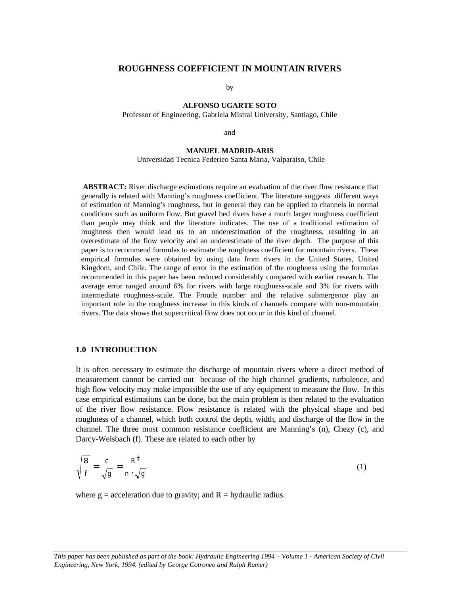## **ROUGHNESS COEFFICIENT IN MOUNTAIN RIVERS**

by

# **ALFONSO UGARTE SOTO**

Professor of Engineering, Gabriela Mistral University, Santiago, Chile

and

## **MANUEL MADRID-ARIS**

Universidad Tecnica Federico Santa Maria, Valparaiso, Chile

**ABSTRACT:** River discharge estimations require an evaluation of the river flow resistance that generally is related with Manning's roughness coefficient. The literature suggests different ways of estimation of Manning's roughness, but in general they can be applied to channels in normal conditions such as uniform flow. But gravel bed rivers have a much larger roughness coefficient than people may think and the literature indicates. The use of a traditional estimation of roughness then would lead us to an underestimation of the roughness, resulting in an overestimate of the flow velocity and an underestimate of the river depth. The purpose of this paper is to recommend formulas to estimate the roughness coefficient for mountain rivers. These empirical formulas were obtained by using data from rivers in the United States, United Kingdom, and Chile. The range of error in the estimation of the roughness using the formulas recommended in this paper has been reduced considerably compared with earlier research. The average error ranged around 6% for rivers with large roughness-scale and 3% for rivers with intermediate roughness-scale. The Froude number and the relative submergence play an important role in the roughness increase in this kinds of channels compare with non-mountain rivers. The data shows that supercritical flow does not occur in this kind of channel.

### **1.0 INTRODUCTION**

It is often necessary to estimate the discharge of mountain rivers where a direct method of measurement cannot be carried out because of the high channel gradients, turbulence, and high flow velocity may make impossible the use of any equipment to measure the flow. In this case empirical estimations can be done, but the main problem is then related to the evaluation of the river flow resistance. Flow resistance is related with the physical shape and bed roughness of a channel, which both control the depth, width, and discharge of the flow in the channel. The three most common resistance coefficient are Manning's (n), Chezy (c), and Darcy-Weisbach (f). These are related to each other by

$$
\sqrt{\frac{8}{f}} = \frac{c}{\sqrt{g}} = \frac{R^{\frac{1}{6}}}{n \cdot \sqrt{g}}
$$
\n(1)

where  $g =$  acceleration due to gravity; and  $R =$  hydraulic radius.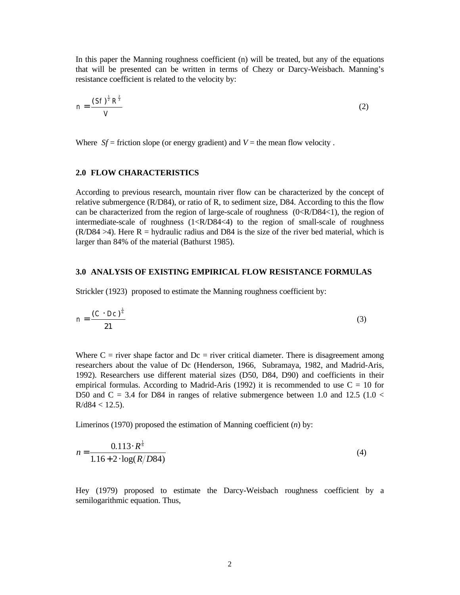In this paper the Manning roughness coefficient (n) will be treated, but any of the equations that will be presented can be written in terms of Chezy or Darcy-Weisbach. Manning's resistance coefficient is related to the velocity by:

$$
n = \frac{(St)^{\frac{1}{2}} R^{\frac{2}{3}}}{V}
$$
 (2)

Where  $Sf =$  friction slope (or energy gradient) and  $V =$  the mean flow velocity.

## **2.0 FLOW CHARACTERISTICS**

According to previous research, mountain river flow can be characterized by the concept of relative submergence (R/D84), or ratio of R, to sediment size, D84. According to this the flow can be characterized from the region of large-scale of roughness (0<R/D84<1), the region of intermediate-scale of roughness (1<R/D84<4) to the region of small-scale of roughness  $(R/D84 >4)$ . Here R = hydraulic radius and D84 is the size of the river bed material, which is larger than 84% of the material (Bathurst 1985).

#### **3.0 ANALYSIS OF EXISTING EMPIRICAL FLOW RESISTANCE FORMULAS**

Strickler (1923) proposed to estimate the Manning roughness coefficient by:

$$
n = \frac{(C \cdot Dc)^{\frac{1}{6}}}{21} \tag{3}
$$

Where  $C =$  river shape factor and  $Dc =$  river critical diameter. There is disagreement among researchers about the value of Dc (Henderson, 1966, Subramaya, 1982, and Madrid-Aris, 1992). Researchers use different material sizes (D50, D84, D90) and coefficients in their empirical formulas. According to Madrid-Aris (1992) it is recommended to use  $C = 10$  for D50 and C = 3.4 for D84 in ranges of relative submergence between 1.0 and 12.5 (1.0 <  $R/d84 < 12.5$ ).

Limerinos (1970) proposed the estimation of Manning coefficient (*n*) by:

1

$$
n = \frac{0.113 \cdot R^{\frac{1}{6}}}{1.16 + 2 \cdot \log(R/D84)}
$$
(4)

Hey (1979) proposed to estimate the Darcy-Weisbach roughness coefficient by a semilogarithmic equation. Thus,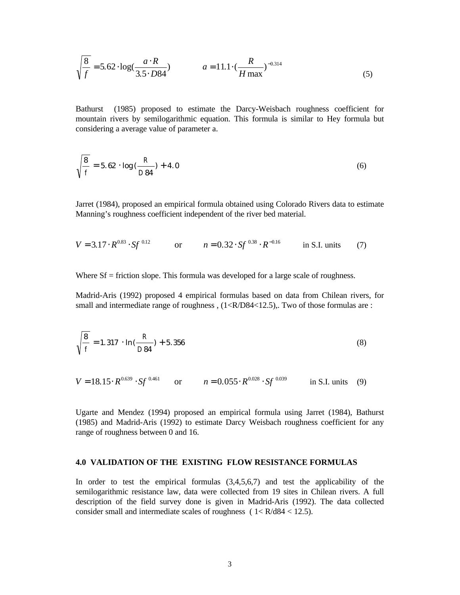$$
\sqrt{\frac{8}{f}} = 5.62 \cdot \log(\frac{a \cdot R}{3.5 \cdot D84}) \qquad a = 11.1 \cdot (\frac{R}{H \max})^{-0.314} \tag{5}
$$

Bathurst (1985) proposed to estimate the Darcy-Weisbach roughness coefficient for mountain rivers by semilogarithmic equation. This formula is similar to Hey formula but considering a average value of parameter a.

$$
\sqrt{\frac{8}{f}} = 5.62 \cdot \log(\frac{R}{D84}) + 4.0
$$
 (6)

Jarret (1984), proposed an empirical formula obtained using Colorado Rivers data to estimate Manning's roughness coefficient independent of the river bed material.

$$
V = 3.17 \cdot R^{0.83} \cdot Sf^{0.12} \qquad \text{or} \qquad n = 0.32 \cdot Sf^{0.38} \cdot R^{-0.16} \qquad \text{in S.I. units} \qquad (7)
$$

Where Sf = friction slope. This formula was developed for a large scale of roughness.

Madrid-Aris (1992) proposed 4 empirical formulas based on data from Chilean rivers, for small and intermediate range of roughness,  $(1 **R**/D84 < 12.5)$ . Two of those formulas are :

$$
\sqrt{\frac{8}{f}} = 1.317 \cdot \ln(\frac{R}{D84}) + 5.356
$$
 (8)

$$
V = 18.15 \cdot R^{0.639} \cdot Sf^{0.461} \qquad \text{or} \qquad n = 0.055 \cdot R^{0.028} \cdot Sf^{0.039} \qquad \text{in S.I. units} \quad (9)
$$

Ugarte and Mendez (1994) proposed an empirical formula using Jarret (1984), Bathurst (1985) and Madrid-Aris (1992) to estimate Darcy Weisbach roughness coefficient for any range of roughness between 0 and 16.

#### **4.0 VALIDATION OF THE EXISTING FLOW RESISTANCE FORMULAS**

In order to test the empirical formulas (3,4,5,6,7) and test the applicability of the semilogarithmic resistance law, data were collected from 19 sites in Chilean rivers. A full description of the field survey done is given in Madrid-Aris (1992). The data collected consider small and intermediate scales of roughness ( 1< R/d84 < 12.5).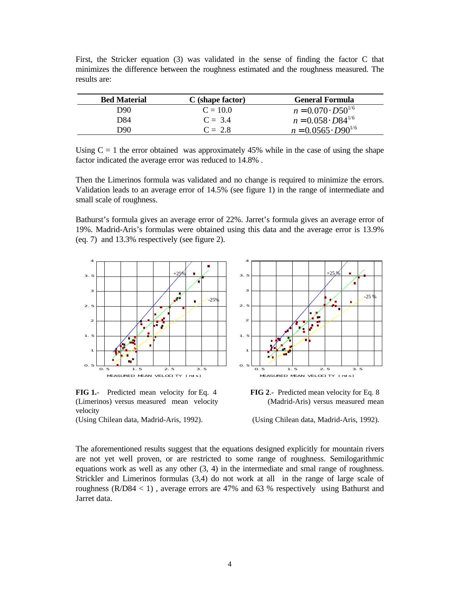| <b>Bed Material</b> | C (shape factor) | General Formula              |
|---------------------|------------------|------------------------------|
| D90                 | $C = 10.0$       | $n = 0.070 \cdot D50^{1/6}$  |
| D84                 | $C = 3.4$        | $n = 0.058 \cdot D84^{1/6}$  |
| D90                 | $C = 2.8$        | $n = 0.0565 \cdot D90^{1/6}$ |

First, the Stricker equation (3) was validated in the sense of finding the factor C that minimizes the difference between the roughness estimated and the roughness measured. The results are:

Using  $C = 1$  the error obtained was approximately 45% while in the case of using the shape factor indicated the average error was reduced to 14.8% .

Then the Limerinos formula was validated and no change is required to minimize the errors. Validation leads to an average error of 14.5% (see figure 1) in the range of intermediate and small scale of roughness.

Bathurst's formula gives an average error of 22%. Jarret's formula gives an average error of 19%. Madrid-Aris's formulas were obtained using this data and the average error is 13.9% (eq. 7) and 13.3% respectively (see figure 2).



**FIG 1.**- Predicted mean velocity for Eq. 4 **FIG 2**.- Predicted mean velocity for Eq. 8 (Limerinos) versus measured mean velocity (Madrid-Aris) versus measured mean velocity

(Using Chilean data, Madrid-Aris, 1992). (Using Chilean data, Madrid-Aris, 1992).

The aforementioned results suggest that the equations designed explicitly for mountain rivers are not yet well proven, or are restricted to some range of roughness. Semilogarithmic equations work as well as any other (3, 4) in the intermediate and smal range of roughness. Strickler and Limerinos formulas (3,4) do not work at all in the range of large scale of roughness ( $R/D84 < 1$ ), average errors are 47% and 63% respectively using Bathurst and Jarret data.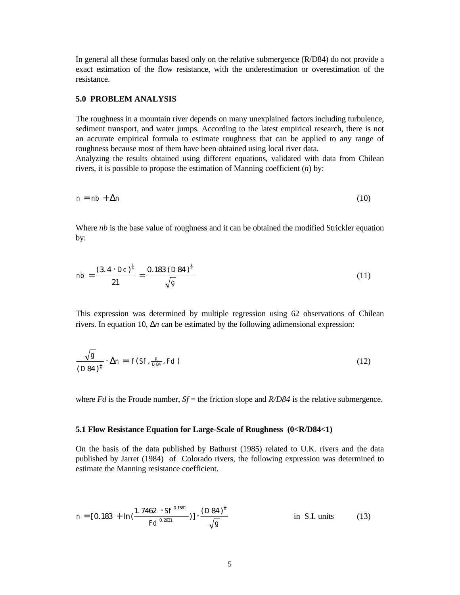In general all these formulas based only on the relative submergence (R/D84) do not provide a exact estimation of the flow resistance, with the underestimation or overestimation of the resistance.

## **5.0 PROBLEM ANALYSIS**

The roughness in a mountain river depends on many unexplained factors including turbulence, sediment transport, and water jumps. According to the latest empirical research, there is not an accurate empirical formula to estimate roughness that can be applied to any range of roughness because most of them have been obtained using local river data.

Analyzing the results obtained using different equations, validated with data from Chilean rivers, it is possible to propose the estimation of Manning coefficient (*n*) by:

$$
n = nb + \Delta n \tag{10}
$$

Where *nb* is the base value of roughness and it can be obtained the modified Strickler equation by:

$$
nb = \frac{(3.4 \cdot Dc)^{\frac{1}{6}}}{21} = \frac{0.183 (D84)^{\frac{1}{6}}}{\sqrt{g}}
$$
\n(11)

This expression was determined by multiple regression using 62 observations of Chilean rivers. In equation 10, Δ*n* can be estimated by the following adimensional expression:

$$
\frac{\sqrt{g}}{\left(D84\right)^{\frac{1}{6}}} \cdot \Delta n = f(Sf, \frac{R}{DB4}, Fd)
$$
\n(12)

where *Fd* is the Froude number,  $Sf$  = the friction slope and  $R/D84$  is the relative submergence.

## **5.1 Flow Resistance Equation for Large-Scale of Roughness (0<R/D84<1)**

On the basis of the data published by Bathurst (1985) related to U.K. rivers and the data published by Jarret (1984) of Colorado rivers, the following expression was determined to estimate the Manning resistance coefficient.

$$
n = [0.183 + \ln\left(\frac{1.7462 \cdot Sf^{0.1581}}{Fd^{0.2631}}\right)] \cdot \frac{(D84)^{\frac{1}{6}}}{\sqrt{g}}
$$
 in S.I. units (13)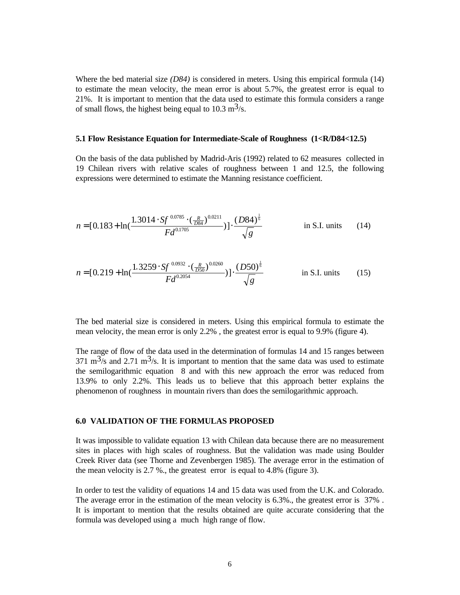Where the bed material size *(D84)* is considered in meters. Using this empirical formula (14) to estimate the mean velocity, the mean error is about 5.7%, the greatest error is equal to 21%. It is important to mention that the data used to estimate this formula considers a range of small flows, the highest being equal to  $10.3 \text{ m}^3/\text{s}$ .

### **5.1 Flow Resistance Equation for Intermediate-Scale of Roughness (1<R/D84<12.5)**

On the basis of the data published by Madrid-Aris (1992) related to 62 measures collected in 19 Chilean rivers with relative scales of roughness between 1 and 12.5, the following expressions were determined to estimate the Manning resistance coefficient.

$$
n = [0.183 + \ln(\frac{1.3014 \cdot \text{Sf}^{0.0785} \cdot (\frac{R}{DB4})^{0.0211}}{\text{Fd}^{0.1705}})] \cdot \frac{(D84)^{\frac{1}{6}}}{\sqrt{g}}
$$
 in S.I. units (14)

$$
n = [0.219 + \ln(\frac{1.3259 \cdot \text{Sf}^{0.0932} \cdot (\frac{R}{D50})^{0.0260}}{Fd^{0.2054}})] \cdot \frac{(D50)^{\frac{1}{6}}}{\sqrt{g}}
$$
 in S.I. units (15)

The bed material size is considered in meters. Using this empirical formula to estimate the mean velocity, the mean error is only 2.2% , the greatest error is equal to 9.9% (figure 4).

The range of flow of the data used in the determination of formulas 14 and 15 ranges between  $371 \text{ m}^3$ /s and  $2.71 \text{ m}^3$ /s. It is important to mention that the same data was used to estimate the semilogarithmic equation 8 and with this new approach the error was reduced from 13.9% to only 2.2%. This leads us to believe that this approach better explains the phenomenon of roughness in mountain rivers than does the semilogarithmic approach.

## **6.0 VALIDATION OF THE FORMULAS PROPOSED**

It was impossible to validate equation 13 with Chilean data because there are no measurement sites in places with high scales of roughness. But the validation was made using Boulder Creek River data (see Thorne and Zevenbergen 1985). The average error in the estimation of the mean velocity is 2.7 %., the greatest error is equal to 4.8% (figure 3).

In order to test the validity of equations 14 and 15 data was used from the U.K. and Colorado. The average error in the estimation of the mean velocity is 6.3%., the greatest error is 37% . It is important to mention that the results obtained are quite accurate considering that the formula was developed using a much high range of flow.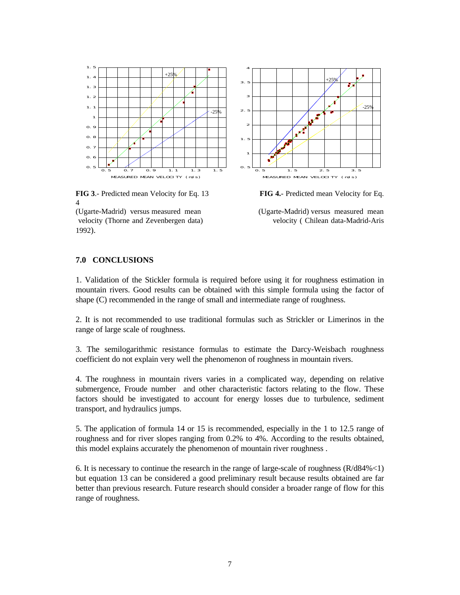

**FIG 3**.- Predicted mean Velocity for Eq. 13 **FIG 4.**- Predicted mean Velocity for Eq. 4





# **7.0 CONCLUSIONS**

1. Validation of the Stickler formula is required before using it for roughness estimation in mountain rivers. Good results can be obtained with this simple formula using the factor of shape (C) recommended in the range of small and intermediate range of roughness.

2. It is not recommended to use traditional formulas such as Strickler or Limerinos in the range of large scale of roughness.

3. The semilogarithmic resistance formulas to estimate the Darcy-Weisbach roughness coefficient do not explain very well the phenomenon of roughness in mountain rivers.

4. The roughness in mountain rivers varies in a complicated way, depending on relative submergence, Froude number and other characteristic factors relating to the flow. These factors should be investigated to account for energy losses due to turbulence, sediment transport, and hydraulics jumps.

5. The application of formula 14 or 15 is recommended, especially in the 1 to 12.5 range of roughness and for river slopes ranging from 0.2% to 4%. According to the results obtained, this model explains accurately the phenomenon of mountain river roughness .

6. It is necessary to continue the research in the range of large-scale of roughness  $(R/d84\% < 1)$ but equation 13 can be considered a good preliminary result because results obtained are far better than previous research. Future research should consider a broader range of flow for this range of roughness.